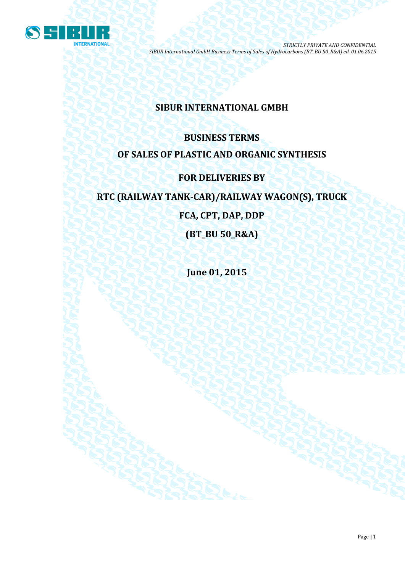

# **SIBUR INTERNATIONAL GMBH**

# **BUSINESS TERMS OF SALES OF PLASTIC AND ORGANIC SYNTHESIS**

# **FOR DELIVERIES BY**

# **RTC (RAILWAY TANK-CAR)/RAILWAY WAGON(S), TRUCK**

**FCA, CPT, DAP, DDP**

**(BT\_BU 50\_R&A)**

**June 01, 2015**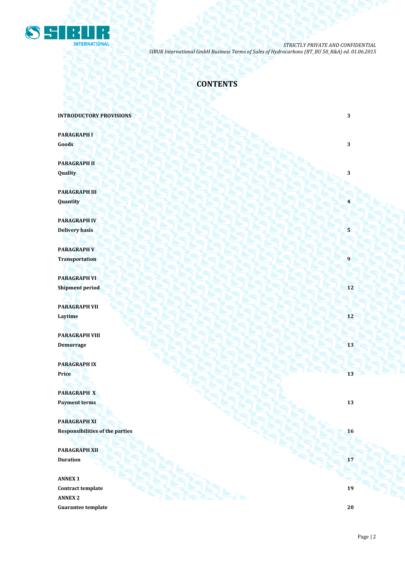

# **CONTENTS**

**INTRODUCTORY PROVISIONS** 3

**PARAGRAPH I Goods 3 3** 

**PARAGRAPH II Quality 3**

**PARAGRAPH III Quantity 4**

**PARAGRAPH IV Delivery basis 5 5** 

**PARAGRAPH V Transportation 1** 

**PARAGRAPH VI Shipment period 12** 

**PARAGRAPH VII Laytime 12**

**PARAGRAPH VIII Demurrage 13 13 14 14 14 14 15 14 15 15 15 15 15 15 15** 

**PARAGRAPH IX Price 13 13** 

**PARAGRAPH X Payment terms 13** 

**PARAGRAPH XI Responsibilities of the parties 16** 

**PARAGRAPH XII Duration 17 17** 

**ANNEX 1 Contract template 19 ANNEX 2 Guarantee template 20**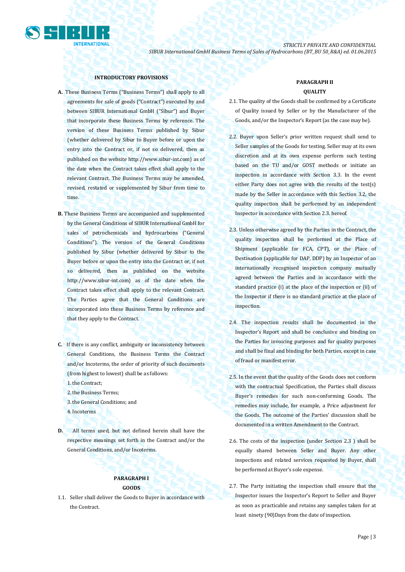

### **INTRODUCTORY PROVISIONS**

- **A.** These Business Terms ("Business Terms") shall apply to all agreements for sale of goods ("Contract") executed by and between SIBUR International GmbH ("Sibur") and Buyer that incorporate these Business Terms by reference. The version of these Business Terms published by Sibur (whether delivered by Sibur to Buyer before or upon the entry into the Contract or, if not so delivered, then as published on the website [http://www.sibur-int.com\)](http://www.sibur-int.com/) as of the date when the Contract takes effect shall apply to the relevant Contract. The Business Terms may be amended, revised, restated or supplemented by Sibur from time to time.
- **B.** These Business Terms are accompanied and supplemented by the General Conditions of SIBUR International GmbH for sales of petrochemicals and hydrocarbons ("General Conditions"). The version of the General Conditions published by Sibur (whether delivered by Sibur to the Buyer before or upon the entry into the Contract or, if not so delivered, then as published on the website [http://www.sibur-int.com\)](http://www.sibur-int.com/) as of the date when the Contract takes effect shall apply to the relevant Contract. The Parties agree that the General Conditions are incorporated into these Business Terms by reference and that they apply to the Contract.
- **C.** If there is any conflict, ambiguity or inconsistency between General Conditions, the Business Terms the Contract and/or Incoterms, the order of priority of such documents (from highest to lowest) shall be as follows:
	- 1.the Contract;
	- 2.the Business Terms;
	- 3.the General Conditions; and
	- 4.Incoterms
- **D.** All terms used, but not defined herein shall have the respective meanings set forth in the Contract and/or the General Conditions, and/or Incoterms.

# **PARAGRAPH I GOODS**

1.1. Seller shall deliver the Goods to Buyer in accordance with the Contract.

# **PARAGRAPH II QUALITY**

- 2.1. The quality of the Goods shall be confirmed by a Certificate of Quality issued by Seller or by the Manufacturer of the Goods, and/or the Inspector's Report (as the case may be).
- 2.2. Buyer upon Seller's prior written request shall send to Seller samples of the Goods for testing. Seller may at its own discretion and at its own expense perform such testing based on the TU and/or GOST methods or initiate an inspection in accordance with Section 3.3. In the event either Party does not agree with the results of the test(s) made by the Seller in accordance with this Section 3.2, the quality inspection shall be performed by an independent Inspector in accordance with Section 2.3. hereof.
- 2.3. Unless otherwise agreed by the Parties in the Contract, the quality inspection shall be performed at the Place of Shipment (applicable for FCA, CPT), or the Place of Destination (applicable for DAP, DDP) by an Inspector of an internationally recognised inspection company mutually agreed between the Parties and in accordance with the standard practice (i) at the place of the inspection or (ii) of the Inspector if there is no standard practice at the place of inspection.
- 2.4. The inspection results shall be documented in the Inspector's Report and shall be conclusive and binding on the Parties for invoicing purposes and for quality purposes and shall be final and binding for both Parties, except in case of fraud or manifest error.
- 2.5. In the event that the quality of the Goods does not conform with the contractual Specification, the Parties shall discuss Buyer's remedies for such non-conforming Goods. The remedies may include, for example, a Price adjustment for the Goods. The outcome of the Parties' discussion shall be documented in a written Amendment to the Contract.
- 2.6. The costs of the inspection (under Section 2.3 ) shall be equally shared between Seller and Buyer. Any other inspections and related services requested by Buyer, shall be performed at Buyer's sole expense.
- 2.7. The Party initiating the inspection shall ensure that the Inspector issues the Inspector's Report to Seller and Buyer as soon as practicable and retains any samples taken for at least ninety (90)Days from the date of inspection.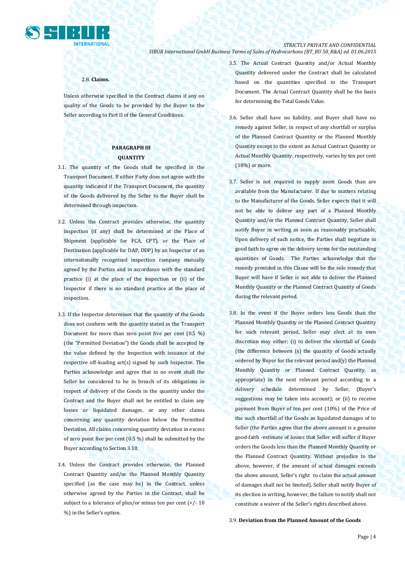

#### 2.8. **Claims.**

Unless otherwise specified in the Contract claims if any on quality of the Goods to be provided by the Buyer to the Seller according to Part II of the General Conditions.

# **PARAGRAPH III QUANTITY**

- 3.1. The quantity of the Goods shall be specified in the Transport Document. If either Party does not agree with the quantity indicated if the Transport Document, the quantity of the Goods delivered by the Seller to the Buyer shall be determined through inspection.
- 3.2. Unless the Contract provides otherwise, the quantity inspection (if any) shall be determined at the Place of Shipment (applicable for FCA, CPT), or the Place of Destination (applicable for DAP, DDP) by an Inspector of an internationally recognised inspection company mutually agreed by the Parties and in accordance with the standard practice (i) at the place of the inspection or (ii) of the Inspector if there is no standard practice at the place of inspection.
- 3.3. If the Inspector determines that the quantity of the Goods does not conform with the quantity stated in the Transport Document for more than zero point five per cent (0.5 %) (the "Permitted Deviation") the Goods shall be accepted by the value defined by the Inspection with issuance of the respective off-loading act(s) signed by such Inspector. The Parties acknowledge and agree that in no event shall the Seller be considered to be in breach of its obligations in respect of delivery of the Goods in the quantity under the Contract and the Buyer shall not be entitled to claim any losses or liquidated damages, or any other claims concerning any quantity deviation below the Permitted Deviation. All claims concerning quantity deviation in excess of zero point five per cent (0.5 %) shall be submitted by the Buyer according to Section 3.10.
- 3.4. Unless the Contract provides otherwise, the Planned Contract Quantity and/or the Planned Monthly Quantity specified (as the case may be) in the Contract, unless otherwise agreed by the Parties in the Contract, shall be subject to a tolerance of plus/or minus ten per cent  $(+/- 10$ %) in the Seller's option.
- 3.5. The Actual Contract Quantity and/or Actual Monthly Quantity delivered under the Contract shall be calculated based on the quantities specified in the Transport Document. The Actual Contract Quantity shall be the basis for determining the Total Goods Value.
- 3.6. Seller shall have no liability, and Buyer shall have no remedy against Seller, in respect of any shortfall or surplus of the Planned Contract Quantity or the Planned Monthly Quantity except to the extent an Actual Contract Quantity or Actual Monthly Quantity, respectively, varies by ten per cent (10%) or more.
- 3.7. Seller is not required to supply more Goods than are available from the Manufacturer. If due to matters relating to the Manufacturer of the Goods, Seller expects that it will not be able to deliver any part of a Planned Monthly Quantity and/or the Planned Contract Quantity, Seller shall notify Buyer in writing as soon as reasonably practicable, Upon delivery of such notice, the Parties shall negotiate in good faith to agree on the delivery terms for the outstanding quantities of Goods. The Parties acknowledge that the remedy provided in this Clause will be the sole remedy that Buyer will have if Seller is not able to deliver the Planned Monthly Quantity or the Planned Contract Quantity of Goods during the relevant period.
- 3.8. In the event if the Buyer orders less Goods than the Planned Monthly Quantity or the Planned Contract Quantity for such relevant period, Seller may elect at its own discretion may either: (i) to deliver the shortfall of Goods (the difference between (x) the quantity of Goods actually ordered by Buyer for the relevant period and(y) the Planned Monthly Quantity or Planned Contract Quantity, as appropriate) in the next relevant period according to a delivery schedule determined by Seller, (Buyer's suggestions may be taken into account); or (ii) to receive payment from Buyer of ten per cent (10%) of the Price of the such shortfall of the Goods as liquidated damages of to Seller (the Parties agree that the above amount is a genuine good-faith -estimate of losses that Seller will suffer if Buyer orders the Goods less than the Planned Monthly Quantity or the Planned Contract Quantity. Without prejudice to the above, however, if the amount of actual damages exceeds the above amount, Seller's right to claim the actual amount of damages shall not be limited). Seller shall notify Buyer of its election in writing, however, the failure to notify shall not constitute a waiver of the Seller's rights described above.

#### 3.9. **Deviation from the Planned Amount of the Goods**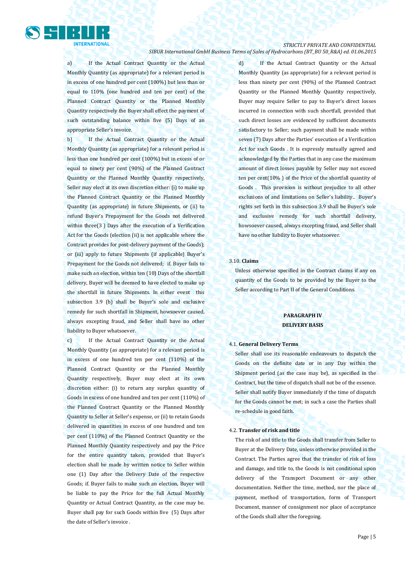

a) If the Actual Contract Quantity or the Actual Monthly Quantity (as appropriate) for a relevant period is in excess of one hundred per cent (100%) but less than or equal to 110% (one hundred and ten per cent) of the Planned Contract Quantity or the Planned Monthly Quantity respectively the Buyer shall effect the payment of such outstanding balance within five (5) Days of an appropriate Seller's invoice.

b) If the Actual Contract Quantity or the Actual Monthly Quantity (as appropriate) for a relevant period is less than one hundred per cent (100%) but in excess of or equal to ninety per cent (90%) of the Planned Contract Quantity or the Planned Monthly Quantity respectively, Seller may elect at its own discretion either: (i) to make up the Planned Contract Quantity or the Planned Monthly Quantity (as appropriate) in future Shipments, or (ii) to refund Buyer's Prepayment for the Goods not delivered within three(3 ) Days after the execution of a Verification Act for the Goods (election (ii) is not applicable where the Contract provides for post-delivery payment of the Goods); or (iii) apply to future Shipments (if applicable) Buyer's Prepayment for the Goods not delivered; if. Buyer fails to make such an election, within ten (10) Days of the shortfall delivery, Buyer will be deemed to have elected to make up the shortfall in future Shipments. In either event this subsection 3.9 (b) shall be Buyer's sole and exclusive remedy for such shortfall in Shipment, howsoever caused, always excepting fraud, and Seller shall have no other liability to Buyer whatsoever.

c) If the Actual Contract Quantity or the Actual Monthly Quantity (as appropriate) for a relevant period is in excess of one hundred ten per cent (110%) of the Planned Contract Quantity or the Planned Monthly Quantity respectively, Buyer may elect at its own discretion either: (i) to return any surplus quantity of Goods in excess of one hundred and ten per cent (110%) of the Planned Contract Quantity or the Planned Monthly Quantity to Seller at Seller's expense, or (ii) to retain Goods delivered in quantities in excess of one hundred and ten per cent (110%) of the Planned Contract Quantity or the Planned Monthly Quantity respectively and pay the Price for the entire quantity taken, provided that Buyer's election shall be made by written notice to Seller within one (1) Day after the Delivery Date of the respective Goods; if. Buyer fails to make such an election, Buyer will be liable to pay the Price for the full Actual Monthly Quantity or Actual Contract Quantity, as the case may be. Buyer shall pay for such Goods within five (5) Days after the date of Seller's invoice .

d) If the Actual Contract Quantity or the Actual Monthly Quantity (as appropriate) for a relevant period is less than ninety per cent (90%) of the Planned Contract Quantity or the Planned Monthly Quantity respectively, Buyer may require Seller to pay to Buyer's direct losses incurred in connection with such shortfall, provided that such direct losses are evidenced by sufficient documents satisfactory to Seller; such payment shall be made within seven (7) Days after the Parties' execution of a Verification Act for such Goods . It is expressly mutually agreed and acknowledged by the Parties that in any case the maximum amount of direct losses payable by Seller may not exceed ten per cent(10% ) of the Price of the shortfall quantity of Goods . This provision is without prejudice to all other exclusions of and limitations on Seller's liability.. Buyer's rights set forth in this subsection 3.9 shall be Buyer's sole and exclusive remedy for such shortfall delivery, howsoever caused, always excepting fraud, and Seller shall have no other liability to Buyer whatsoever.

### 3.10. **Claims**

Unless otherwise specified in the Contract claims if any on quantity of the Goods to be provided by the Buyer to the Seller according to Part II of the General Conditions.

# **PARAGRAPH IV DELIVERY BASIS**

#### 4.1. **General Delivery Terms**

Seller shall use its reasonable endeavours to dispatch the Goods on the definite date or in any Day within the Shipment period (as the case may be), as specified in the Contract, but the time of dispatch shall not be of the essence. Seller shall notify Buyer immediately if the time of dispatch for the Goods cannot be met; in such a case the Parties shall re-schedule in good faith.

#### 4.2. **Transfer of risk and title**

The risk of and title to the Goods shall transfer from Seller to Buyer at the Delivery Date, unless otherwise provided in the Contract. The Parties agree that the transfer of risk of loss and damage, and title to, the Goods is not conditional upon delivery of the Transport Document or any other documentation. Neither the time, method, nor the place of payment, method of transportation, form of Transport Document, manner of consignment nor place of acceptance of the Goods shall alter the foregoing.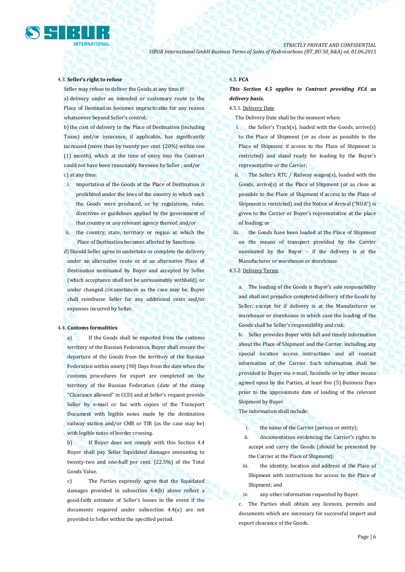

#### 4.3. **Seller's right to refuse**

Seller may refuse to deliver the Goods at any time if: a) delivery under an intended or customary route to the Place of Destination becomes impracticable for any reason whatsoever beyond Seller's control;

b) the cost of delivery to the Place of Destination (including Taxes) and/or insurance, if applicable, has significantly increased (more than by twenty per cent. (20%) within one (1) month), which at the time of entry into the Contract could not have been reasonably foreseen by Seller ; and/or c) at any time:

i. importation of the Goods at the Place of Destination is prohibited under the laws of the country in which such the Goods were produced, or by regulations, rules, directives or guidelines applied by the government of that country or any relevant agency thereof; and/or

ii. the country, state, territory or region at which the Place of Destination becomes affected by Sanctions.

d) Should Seller agree to undertake or complete the delivery under an alternative route or at an alternative Place of Destination nominated by Buyer and accepted by Seller (which acceptance shall not be unreasonably withheld), or under changed circumstances as the case may be, Buyer shall reimburse Seller for any additional costs and/or expenses incurred by Seller.

#### 4.4. **Customs formalities**

a) If the Goods shall be exported from the customs territory of the Russian Federation, Buyer shall ensure the departure of the Goods from the territory of the Russian Federation within ninety (90) Days from the date when the customs procedures for export are completed on the territory of the Russian Federation (date of the stamp "Clearance allowed" in CCD) and at Seller's request provide Seller by e-mail or fax with copies of the Transport Document with legible notes made by the destination railway station and/or CMR or TIR (as the case may be) with legible notes of border crossing.

b) If Buyer does not comply with this Section 4.4 Buyer shall pay Seller liquidated damages amounting to twenty-two and one-half per cent. (22.5%) of the Total Goods Value.

c) The Parties expressly agree that the liquidated damages provided in subsection 4.4(b) above reflect a good-faith estimate of Seller's losses in the event if the documents required under subsection 4.4(a) are not provided to Seller within the specified period.

#### 4.5. **FCA**

*This Section 4.5 applies to Contract providing FCA as delivery basis.*

### 4.5.1. Delivery Date

The Delivery Date shall be the moment when:

- i. the Seller's Truck(s), loaded with the Goods, arrive(s) to the Place of Shipment (or as close as possible to the Place of Shipment if access to the Place of Shipment is restricted) and stand ready for loading by the Buyer's representative or the Carrier;
- ii. The Seller's RTC / Railway wagon(s), loaded with the Goods, arrive(s) at the Place of Shipment (or as close as possible to the Place of Shipment if access to the Place of Shipment is restricted) and the Notice of Arrival ("NOA") is given to the Carrier or Buyer's representative at the place of loading; or
- iii. the Goods have been loaded at the Place of Shipment on the means of transport provided by the Carrier nominated by the Buyer – if the delivery is at the Manufacturer or warehouse or storehouse.
- 4.5.2. Delivery Terms

a. The loading of the Goods is Buyer's sole responsibility and shall not prejudice completed delivery of the Goods by Seller, except for if delivery is at the Manufacturer or warehouse or storehouse in which case the loading of the Goods shall be Seller's responsibility and risk.

b. Seller provides Buyer with full and timely information about the Place of Shipment and the Carrier, including any special location access instructions and all contact information of the Carrier. Such information shall be provided to Buyer via e-mail, facsimile or by other means agreed upon by the Parties, at least five (5) Business Days prior to the approximate date of loading of the relevant Shipment by Buyer.

The information shall include:

- i. the name of the Carrier (person or entity);
- ii. documentation evidencing the Carrier's rights to accept and carry the Goods (should be presented by the Carrier at the Place of Shipment);
- iii. the identity, location and address of the Place of Shipment with instructions for access to the Place of Shipment; and
- iv. any other information requested by Buyer.

c. The Parties shall obtain any licences, permits and documents which are necessary for successful import and export clearance of the Goods.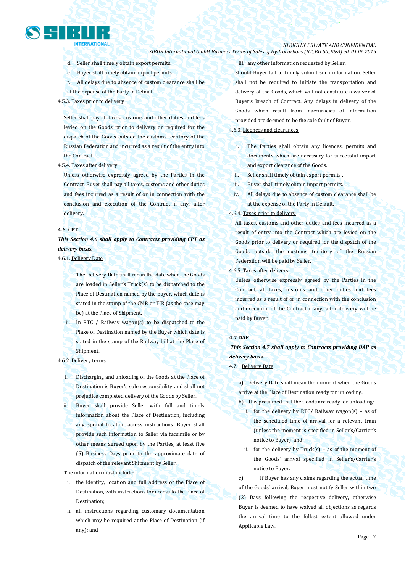

# *STRICTLY PRIVATE AND CONFIDENTIAL*

## *SIBUR International GmbH Business Terms of Sales of Hydrocarbons (BT\_BU 50\_R&A) ed. 01.06.2015*

- d. Seller shall timely obtain export permits.
- e. Buyer shall timely obtain import permits.

at the expense of the Party in Default.

- f. All delays due to absence of custom clearance shall be
- 4.5.3. Taxes prior to delivery

Seller shall pay all taxes, customs and other duties and fees levied on the Goods prior to delivery or required for the dispatch of the Goods outside the customs territory of the Russian Federation and incurred as a result of the entry into the Contract.

4.5.4. Taxes after delivery

Unless otherwise expressly agreed by the Parties in the Contract, Buyer shall pay all taxes, customs and other duties and fees incurred as a result of or in connection with the conclusion and execution of the Contract if any, after delivery.

#### **4.6. CPT**

# *This Section 4.6 shall apply to Contracts providing CPT as delivery basis.*

# 4.6.1. Delivery Date

- i. The Delivery Date shall mean the date when the Goods are loaded in Seller's Truck(s) to be dispatched to the Place of Destination named by the Buyer, which date is stated in the stamp of the CMR or TIR (as the case may be) at the Place of Shipment.
- ii. In RTC / Railway wagon(s) to be dispatched to the Plaxe of Destination named by the Buyer which date is stated in the stamp of the Railway bill at the Place of Shipment.

## 4.6.2. Delivery terms

- i. Discharging and unloading of the Goods at the Place of Destination is Buyer's sole responsibility and shall not prejudice completed delivery of the Goods by Seller.
- ii. Buyer shall provide Seller with full and timely information about the Place of Destination, including any special location access instructions. Buyer shall provide such information to Seller via facsimile or by other means agreed upon by the Parties, at least five (5) Business Days prior to the approximate date of dispatch of the relevant Shipment by Seller.

### The information must include:

- i. the identity, location and full address of the Place of Destination, with instructions for access to the Place of Destination;
- ii. all instructions regarding customary documentation which may be required at the Place of Destination (if any); and

iii. any other information requested by Seller. Should Buyer fail to timely submit such information, Seller shall not be required to initiate the transportation and delivery of the Goods, which will not constitute a waiver of Buyer's breach of Contract. Any delays in delivery of the Goods which result from inaccuracies of information provided are deemed to be the sole fault of Buyer.

### 4.6.3. Licences and clearances

- i. The Parties shall obtain any licences, permits and documents which are necessary for successful import and export clearance of the Goods.
- ii. Seller shall timely obtain export permits .
- iii. Buyer shall timely obtain import permits.
- iv. All delays due to absence of custom clearance shall be at the expense of the Party in Default.

### 4.6.4. Taxes prior to delivery

All taxes, customs and other duties and fees incurred as a result of entry into the Contract which are levied on the Goods prior to delivery or required for the dispatch of the Goods outside the customs territory of the Russian Federation will be paid by Seller.

# 4.6.5. Taxes after delivery

Unless otherwise expressly agreed by the Parties in the Contract, all taxes, customs and other duties and fees incurred as a result of or in connection with the conclusion and execution of the Contract if any, after delivery will be paid by Buyer.

## **4.7 DAP**

*This Section 4.7 shall apply to Contracts providing DAP as delivery basis.*

4.7.1 Delivery Date

a) Delivery Date shall mean the moment when the Goods arrive at the Place of Destination ready for unloading.

- b) It is presumed that the Goods are ready for unloading:
	- i. for the delivery by RTC/ Railway wagon(s) as of the scheduled time of arrival for a relevant train (unless the moment is specified in Seller's/Carrier's notice to Buyer); and
	- ii. for the delivery by  $Truck(s) as$  of the moment of the Goods' arrival specified in Seller's/Carrier's notice to Buyer.

c) If Buyer has any claims regarding the actual time of the Goods' arrival, Buyer must notify Seller within two (2) Days following the respective delivery, otherwise Buyer is deemed to have waived all objections as regards the arrival time to the fullest extent allowed under Applicable Law.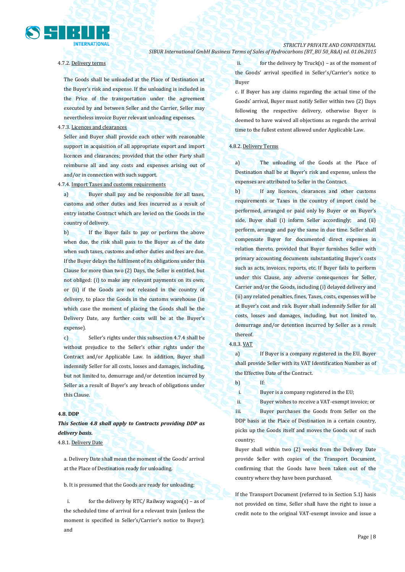

# 4.7.2. Delivery terms

The Goods shall be unloaded at the Place of Destination at the Buyer's risk and expense. If the unloading is included in the Price of the transportation under the agreement executed by and between Seller and the Carrier, Seller may nevertheless invoice Buyer relevant unloading expenses.

4.7.3. Licences and clearances

Seller and Buyer shall provide each other with reasonable support in acquisition of all appropriate export and import licences and clearances; provided that the other Party shall reimburse all and any costs and expenses arising out of and/or in connection with such support.

4.7.4. Import Taxes and customs requirements

a) Buyer shall pay and be responsible for all taxes, customs and other duties and fees incurred as a result of entry intothe Contract which are levied on the Goods in the country of delivery.

b) If the Buyer fails to pay or perform the above when due, the risk shall pass to the Buyer as of the date when such taxes, customs and other duties and fees are due. If the Buyer delays the fulfilment of its obligations under this Clause for more than two (2) Days, the Seller is entitled, but not obliged: (i) to make any relevant payments on its own; or (ii) if the Goods are not released in the country of delivery, to place the Goods in the customs warehouse (in which case the moment of placing the Goods shall be the Delivery Date, any further costs will be at the Buyer's expense).

c) Seller's rights under this subsection 4.7.4 shall be without prejudice to the Seller's other rights under the Contract and/or Applicable Law. In addition, Buyer shall indemnify Seller for all costs, losses and damages, including, but not limited to, demurrage and/or detention incurred by Seller as a result of Buyer's any breach of obligations under this Clause.

#### **4.8. DDP**

*This Section 4.8 shall apply to Contracts providing DDP as delivery basis.*

4.8.1. Delivery Date

a. Delivery Date shall mean the moment of the Goods' arrival at the Place of Destination ready for unloading.

b. It is presumed that the Goods are ready for unloading:

i. for the delivery by RTC/ Railway wagon(s) – as of the scheduled time of arrival for a relevant train (unless the moment is specified in Seller's/Carrier's notice to Buyer); and

ii. for the delivery by  $Truck(s) - as$  of the moment of the Goods' arrival specified in Seller's/Carrier's notice to Buyer

c. If Buyer has any claims regarding the actual time of the Goods' arrival, Buyer must notify Seller within two (2) Days following the respective delivery, otherwise Buyer is deemed to have waived all objections as regards the arrival time to the fullest extent allowed under Applicable Law.

## 4.8.2. Delivery Terms

a) The unloading of the Goods at the Place of Destination shall be at Buyer's risk and expense, unless the expenses are attributed to Seller in the Contract.

b) If any licences, clearances and other customs requirements or Taxes in the country of import could be performed, arranged or paid only by Buyer or on Buyer's side, Buyer shall (i) inform Seller accordingly; and (ii) perform, arrange and pay the same in due time. Seller shall compensate Buyer for documented direct expenses in relation thereto, provided that Buyer furnishes Seller with primary accounting documents substantiating Buyer's costs such as acts, invoices, reports, etc. If Buyer fails to perform under this Clause, any adverse consequences for Seller, Carrier and/or the Goods, including (i) delayed delivery and (ii) any related penalties, fines, Taxes, costs, expenses will be at Buyer's cost and risk. Buyer shall indemnify Seller for all costs, losses and damages, including, but not limited to, demurrage and/or detention incurred by Seller as a result thereof.

## 4.8.3. VAT

a) If Buyer is a company registered in the EU, Buyer shall provide Seller with its VAT Identification Number as of the Effective Date of the Contract.

b) If:

i. Buyer is a company registered in the EU;

ii. Buyer wishes to receive a VAT-exempt invoice; or iii. Buyer purchases the Goods from Seller on the DDP basis at the Place of Destination in a certain country, picks up the Goods itself and moves the Goods out of such country;

Buyer shall within two (2) weeks from the Delivery Date provide Seller with copies of the Transport Document, confirming that the Goods have been taken out of the country where they have been purchased.

If the Transport Document (referred to in Section 5.1) hasis not provided on time, Seller shall have the right to issue a credit note to the original VAT-exempt invoice and issue a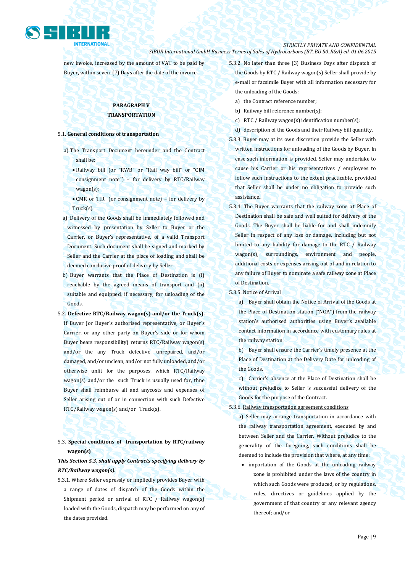

new invoice, increased by the amount of VAT to be paid by Buyer, within seven (7) Days after the date of the invoice.

# **PARAGRAPH V TRANSPORTATION**

## 5.1. **General conditions of transportation**

- a) The Transport Document hereunder and the Contract shall be:
	- Railway bill (or "RWB" or "Rail way bill" or "CIM consignment note") – for delivery by RTC/Railway wagon(s);
	- CMR or TIR (or consignment note) for delivery by Truck(s).
- a) Delivery of the Goods shall be immediately followed and witnessed by presentation by Seller to Buyer or the Carrier, or Buyer's representative, of a valid Transport Document. Such document shall be signed and marked by Seller and the Carrier at the place of loading and shall be deemed conclusive proof of delivery by Seller.
- b) Buyer warrants that the Place of Destination is (i) reachable by the agreed means of transport and (ii) suitable and equipped, if necessary, for unloading of the Goods.
- 5.2. **Defective RTC/Railway wagon(s) and/or the Truck(s).** If Buyer (or Buyer's authorised representative, or Buyer's Carrier, or any other party on Buyer's side or for whom Buyer bears responsibility) returns RTC/Railway wagon(s) and/or the any Truck defective, unrepaired, and/or damaged, and/or unclean, and/or not fully unloaded, and/or otherwise unfit for the purposes, which RTC/Railway wagon(s) and/or the such Truck is usually used for, thne Buyer shall reimburse all and anycosts and expenses of Seller arising out of or in connection with such Defective RTC/Railway wagon(s) and/or Truck(s).

# 5.3. **Special conditions of transportation by RTC/railway wagon(s)**

# *This Section 5.3. shall apply Contracts specifying delivery by RTC/Railway wagon(s).*

5.3.1. Where Seller expressly or impliedly provides Buyer with a range of dates of dispatch of the Goods within the Shipment period or arrival of RTC / Railway wagon(s) loaded with the Goods, dispatch may be performed on any of the dates provided.

5.3.2. No later than three (3) Business Days after dispatch of the Goods by RTC / Railway wagon(s) Seller shall provide by e-mail or facsimile Buyer with all information necessary for the unloading of the Goods:

- a) the Contract reference number;
- b) Railway bill reference number(s);
- c) RTC / Railway wagon(s) identification number(s);
- d) description of the Goods and their Railway bill quantity.
- 5.3.3. Buyer may at its own discretion provide the Seller with written instructions for unloading of the Goods by Buyer. In case such information is provided, Seller may undertake to cause his Carrier or his representatives / employees to follow such instructions to the extent practicable, provided that Seller shall be under no obligation to provide such assistance..
- 5.3.4. The Buyer warrants that the railway zone at Place of Destination shall be safe and well suited for delivery of the Goods. The Buyer shall be liable for and shall indemnify Seller in respect of any loss or damage, including but not limited to any liability for damage to the RTC / Railway wagon(s), surroundings, environment and people, additional costs or expenses arising out of and in relation to any failure of Buyer to nominate a safe railway zone at Place of Destination.

5.3.5. Notice of Arrival

a) Buyer shall obtain the Notice of Arrival of the Goods at the Place of Destination station ("NOA") from the railway station's authorised authorities using Buyer's available contact information in accordance with customary rules at the railway station.

b) Buyer shall ensure the Carrier's timely presence at the Place of Destination at the Delivery Date for unloading of the Goods.

c) Carrier's absence at the Place of Destination shall be without prejudice to Seller 's successful delivery of the Goods for the purpose of the Contract.

### 5.3.6. Railway transportation agreement conditions

a) Seller may arrange transportation in accordance with the railway transportation agreement, executed by and between Seller and the Carrier. Without prejudice to the generality of the foregoing, such conditions shall be deemed to include the provision that where, at any time:

• importation of the Goods at the unloading railway zone is prohibited under the laws of the country in which such Goods were produced, or by regulations, rules, directives or guidelines applied by the government of that country or any relevant agency thereof; and/or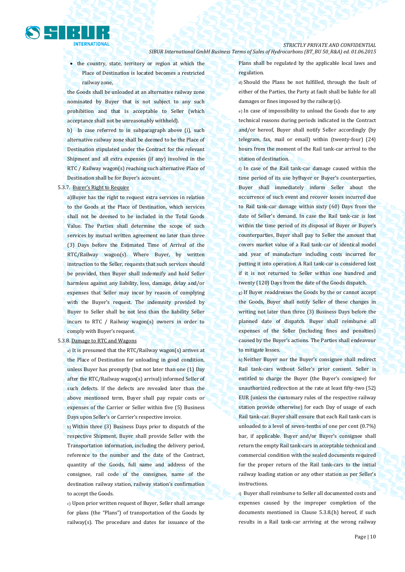• the country, state, territory or region at which the Place of Destination is located becomes a restricted railway zone,

the Goods shall be unloaded at an alternative railway zone nominated by Buyer that is not subject to any such prohibition and that is acceptable to Seller (which acceptance shall not be unreasonably withheld).

b) In case referred to in subparagraph above (i), such alternative railway zone shall be deemed to be the Place of Destination stipulated under the Contract for the relevant Shipment and all extra expenses (if any) involved in the RTC / Railway wagon(s) reaching such alternative Place of Destination shall be for Buyer's account.

#### 5.3.7. Buyer's Right to Require

a)Buyer has the right to request extra services in relation to the Goods at the Place of Destination, which services shall not be deemed to be included in the Total Goods Value. The Parties shall determine the scope of such services by mutual written agreement no later than three (3) Days before the Estimated Time of Arrival of the RTC/Railway wagon(s). Where Buyer, by written instruction to the Seller, requests that such services should be provided, then Buyer shall indemnify and hold Seller harmless against any liability, loss, damage, delay and/or expenses that Seller may incur by reason of complying with the Buyer's request. The indemnity provided by Buyer to Seller shall be not less than the liability Seller incurs to RTC / Railway wagon(s) owners in order to comply with Buyer's request.

#### 5.3.8. Damage to RTC and Wagons

a) It is presumed that the RTC/Railway wagon(s) arrives at the Place of Destination for unloading in good condition, unless Buyer has promptly (but not later than one (1) Day after the RTC/Railway wagon(s) arrival) informed Seller of such defects. If the defects are revealed later than the above mentioned term, Buyer shall pay repair costs or expenses of the Carrier or Seller within five (5) Business Days upon Seller's or Carrier's respective invoice.

b) Within three (3) Business Days prior to dispatch of the respective Shipment, Buyer shall provide Seller with the Transportation information, including the delivery period, reference to the number and the date of the Contract, quantity of the Goods, full name and address of the consignee, rail code of the consignee, name of the destination railway station, railway station's confirmation to accept the Goods.

c) Upon prior written request of Buyer, Seller shall arrange for plans (the "Plans") of transportation of the Goods by railway(s). The procedure and dates for issuance of the Plans shall be regulated by the applicable local laws and regulation.

d) Should the Plans be not fulfilled, through the fault of either of the Parties, the Party at fault shall be liable for all damages or fines imposed by the railway(s).

e) In case of impossibility to unload the Goods due to any technical reasons during periods indicated in the Contract and/or hereof, Buyer shall notify Seller accordingly (by telegram, fax, mail or email) within (twenty-four) (24) hours from the moment of the Rail tank-car arrival to the station of destination.

f) In case of the Rail tank-car damage caused within the time period of its use byBuyer or Buyer's counterparties, Buyer shall immediately inform Seller about the occurrence of such event and recover losses incurred due to Rail tank-car damage within sixty (60) Days from the date of Seller's demand. In case the Rail tank-car is lost within the time period of its disposal of Buyer or Buyer's counterparties, Buyer shall pay to Seller the amount that covers market value of a Rail tank-car of identical model and year of manufacture including costs incurred for putting it into operation. A Rail tank-car is considered lost if it is not returned to Seller within one hundred and twenty (120) Days from the date of the Goods dispatch.

g) If Buyer readdresses the Goods by the or cannot accept the Goods, Buyer shall notify Seller of these changes in writing not later than three (3) Business Days before the planned date of dispatch. Buyer shall reimburse all expenses of the Seller (including fines and penalties) caused by the Buyer's actions. The Parties shall endeavour to mitigate losses.

h) Neither Buyer nor the Buyer's consignee shall redirect Rail tank-cars without Seller's prior consent. Seller is entitled to charge the Buyer (the Buyer's consignee) for unauthorized redirection at the rate at least fifty-two (52) EUR (unless the customary rules of the respective railway station provide otherwise) for each Day of usage of each Rail tank-car. Buyer shall ensure that each Rail tank-cars is unloaded to a level of seven-tenths of one per cent (0.7%) bar, if applicable. Buyer and/or Buyer's consignee shall return the empty Rail tank-cars in acceptable technical and commercial condition with the sealed documents required for the proper return of the Rail tank-cars to the initial railway loading station or any other station as per Seller's instructions.

i) Buyer shall reimburse to Seller all documented costs and expenses caused by the improper completion of the documents mentioned in Clause 5.3.8.(h) hereof, if such results in a Rail tank-car arriving at the wrong railway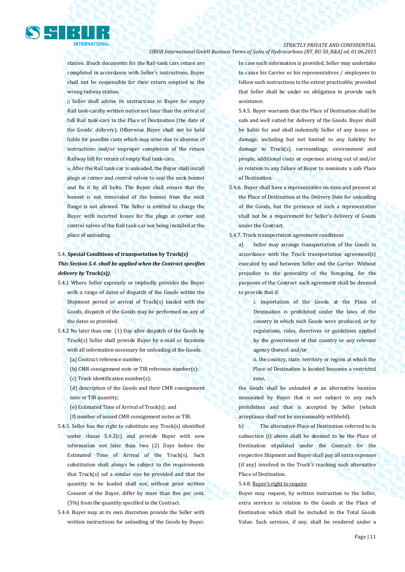

station. Ifsuch documents for the Rail-tank cars return are completed in accordance with Seller's instructions, Buyer shall not be responsible for their return emptied to the wrong railway station.

j) Seller shall advise its instructions to Buyer for empty Rail tank-carsby written notice not later than the arrival of full Rail tank-cars to the Place of Destination (the date of the Goods' delivery). Otherwise Buyer shall not be held liable for possible costs which may arise due to absence of instructions and/or improper completion of the return Railway bill for return of empty Rail tank-cars.

k) After the Rail tank-car is unloaded, the Buyer shall install plugs at corner and control valves to seal the neck bonnet and fix it by all bolts. The Buyer shall ensure that the bonnet is not removaled of the bonnet from the neck flange is not allowed. The Seller is entitled to charge the Buyer with incurred losses for the plugs at corner and control valves of the Rail tank-car not being installed at the place of unloading.

# 5.4**. Special Conditions of transportation by Truck(s)**  *This Section 5.4. shall be applied when the Contract specifies delivery by* **Truck(s)***).*

- 5.4.1 Where Seller expressly or impliedly provides the Buyer with a range of dates of dispatch of the Goods within the Shipment period or arrival of Truck(s) loaded with the Goods, dispatch of the Goods may be performed on any of the dates so provided.
- 5.4.2 No later than one (1) Day after dispatch of the Goods by Truck(s) Seller shall provide Buyer by e-mail or facsimile with all information necessary for unloading of the Goods:
	- (a) Contract reference number;
	- (b) CMR consignment note or TIR reference number(s);
	- (c) Truck identification number(s);
	- (d) description of the Goods and their CMR consignment note or TIR quantity;
	- (e) Estimated Time of Arrival of Truck(s); and

(f) number of issued CMR consignment notes or TIR.

- 5.4.3. Seller has the right to substitute any Truck(s) identified under clause 5.4.2(c) and provide Buyer with new information not later than two (2) Days before the Estimated Time of Arrival of the Truck(s). Such substitution shall always be subject to the requirements that Truck(s) sof a similar size be provided and that the quantity to be loaded shall not, without prior written Consent of the Buyer, differ by more than five per cent. (5%) from the quantity specified in the Contract.
- 5.4.4. Buyer may at its own discretion provide the Seller with written instructions for unloading of the Goods by Buyer.

In case such information is provided, Seller may undertake to cause his Carrier or his representatives / employees to follow such instructions to the extent practicable; provided that Seller shall be under no obligation to provide such assistance.

5.4.5. Buyer warrants that the Place of Destination shall be safe and well suited for delivery of the Goods. Buyer shall be liable for and shall indemnify Seller of any losses or damage, including but not limited to any liability for damage to Truck(s), surroundings, environment and people, additional costs or expenses arising out of and/or in relation to any failure of Buyer to nominate a safe Place of Destination.

- 5.4.6. Buyer shall have a representative on-time and present at the Place of Destination at the Delivery Date for unloading of the Goods, but the presence of such a representative shall not be a requirement for Seller's delivery of Goods under the Contract.
- 5.4.7. Truck transportation agreement conditions

a) Seller may arrange transportation of the Goods in accordance with the Truck transportation agreement(s) executed by and between Seller and the Carrier. Without prejudice to the generality of the foregoing, for the purposes of the Contract such agreement shall be deemed to provide that if:

> i. importation of the Goods at the Place of Destination is prohibited under the laws of the country in which such Goods were produced, or by regulations, rules, directives or guidelines applied by the government of that country or any relevant agency thereof; and/or

ii. the country, state, territory or region at which the Place of Destination is located becomes a restricted zone,

the Goods shall be unloaded at an alternative location nominated by Buyer that is not subject to any such prohibition and that is accepted by Seller (which acceptance shall not be unreasonably withheld).

b) The alternative Place of Destination referred to in subsection (i) above shall be deemed to be the Place of Destination stipulated under the Contract for the respective Shipment and Buyer shall pay all extra expenses (if any) involved in the Truck's reaching such alternative Place of Destination.

5.4.8. Buyer's right to require

Buyer may request, by written instruction to the Seller, extra services in relation to the Goods at the Place of Destination which shall be included in the Total Goods Value. Such services, if any, shall be rendered under a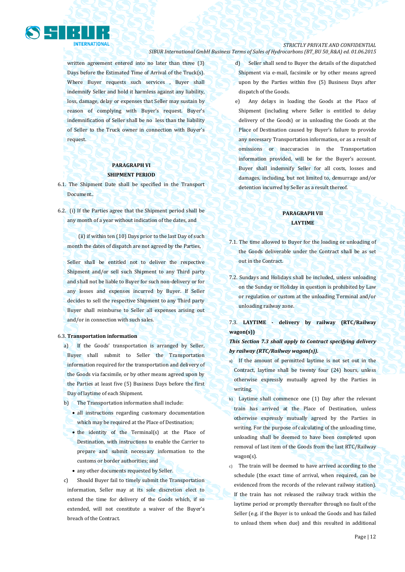

written agreement entered into no later than three (3) Days before the Estimated Time of Arrival of the Truck(s). Where Buyer requests such services, Buyer shall indemnify Seller and hold it harmless against any liability, loss, damage, delay or expenses that Seller may sustain by reason of complying with Buyer's request. Buyer's indemnification of Seller shall be no less than the liability of Seller to the Truck owner in connection with Buyer's request.

# **PARAGRAPH VI SHIPMENT PERIOD**

- 6.1. The Shipment Date shall be specified in the Transport Document..
- 6.2. (i) If the Parties agree that the Shipment period shall be any month of a year without indication of the dates, and

(ii) if within ten (10) Days prior to the last Day of such month the dates of dispatch are not agreed by the Parties,

Seller shall be entitled not to deliver the respective Shipment and/or sell such Shipment to any Third party and shall not be liable to Buyer for such non-delivery or for any losses and expenses incurred by Buyer. If Seller decides to sell the respective Shipment to any Third party Buyer shall reimburse to Seller all expenses arising out and/or in connection with such sales.

#### 6.3. **Transportation information**

- a) If the Goods' transportation is arranged by Seller, Buyer shall submit to Seller the Transportation information required for the transportation and delivery of the Goods via facsimile, or by other means agreed upon by the Parties at least five (5) Business Days before the first Day of laytime of each Shipment.
- b) The Transportation information shall include:
	- all instructions regarding customary documentation which may be required at the Place of Destination;
	- the identity of the Terminal(s) at the Place of Destination, with instructions to enable the Carrier to prepare and submit necessary information to the customs or border authorities; and
	- any other documents requested by Seller.
- c) Should Buyer fail to timely submit the Transportation information, Seller may at its sole discretion elect to extend the time for delivery of the Goods which, if so extended, will not constitute a waiver of the Buyer's breach of the Contract.
- d) Seller shall send to Buyer the details of the dispatched Shipment via e-mail, facsimile or by other means agreed upon by the Parties within five (5) Business Days after dispatch of the Goods.
- e) Any delays in loading the Goods at the Place of Shipment (including where Seller is entitled to delay delivery of the Goods) or in unloading the Goods at the Place of Destination caused by Buyer's failure to provide any necessary Transportation information, or as a result of omissions or inaccuracies in the Transportation information provided, will be for the Buyer's account. Buyer shall indemnify Seller for all costs, losses and damages, including, but not limited to, demurrage and/or detention incurred by Seller as a result thereof.

# **PARAGRAPH VII LAYTIME**

- 7.1. The time allowed to Buyer for the loading or unloading of the Goods deliverable under the Contract shall be as set out in the Contract.
- 7.2. Sundays and Holidays shall be included, unless unloading on the Sunday or Holiday in question is prohibited by Law or regulation or custom at the unloading Terminal and/or unloading railway zone.

7.3. **LAYTIME - delivery by railway (RTC/Railway wagon(s))**

*This Section 7.3 shall apply to Contract specifying delivery by railway (RTC/Railway wagon(s)).*

- a) If the amount of permitted laytime is not set out in the Contract, laytime shall be twenty four (24) hours, unless otherwise expressly mutually agreed by the Parties in writing.
- b) Laytime shall commence one (1) Day after the relevant train has arrived at the Place of Destination, unless otherwise expressly mutually agreed by the Parties in writing. For the purpose of calculating of the unloading time, unloading shall be deemed to have been completed upon removal of last item of the Goods from the last RTC/Railway wagon(s).
- c) The train will be deemed to have arrived according to the schedule (the exact time of arrival, when required, can be evidenced from the records of the relevant railway station). If the train has not released the railway track within the laytime period or promptly thereafter through no fault of the Seller (e.g. if the Buyer is to unload the Goods and has failed to unload them when due) and this resulted in additional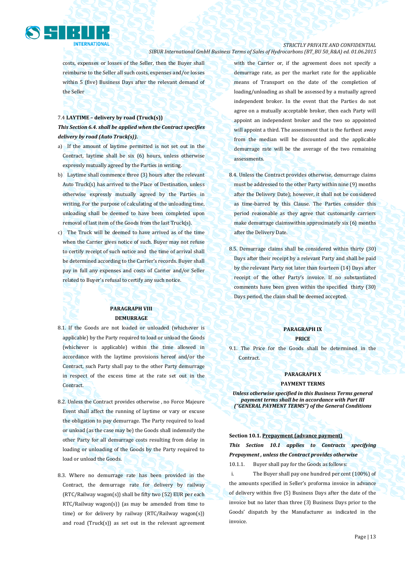

# *STRICTLY PRIVATE AND CONFIDENTIAL*

*SIBUR International GmbH Business Terms of Sales of Hydrocarbons (BT\_BU 50\_R&A) ed. 01.06.2015*

costs, expenses or losses of the Seller, then the Buyer shall reimburse to the Seller all such costs, expenses and/or losses within 5 (five) Business Days after the relevant demand of the Seller

# 7.4 **LAYTIME – delivery by road (Truck(s))** *This Section 6.4. shall be applied when the Contract specifies delivery by road (Auto Truck(s)).*

- a) If the amount of laytime permitted is not set out in the Contract, laytime shall be six (6) hours, unless otherwise expressly mutually agreed by the Parties in writing.
- b) Laytime shall commence three (3) hours after the relevant Auto Truck(s) has arrived to the Place of Destination, unless otherwise expressly mutually agreed by the Parties in writing. For the purpose of calculating of the unloading time, unloading shall be deemed to have been completed upon removal of last item of the Goods from the last Truck(s).
- c) The Truck will be deemed to have arrived as of the time when the Carrier gives notice of such. Buyer may not refuse to certify receipt of such notice and the time of arrival shall be determined according to the Carrier's records. Buyer shall pay in full any expenses and costs of Carrier and/or Seller related to Buyer's refusal to certify any such notice.

# **PARAGRAPH VIII DEMURRAGE**

- 8.1. If the Goods are not loaded or unloaded (whichever is applicable) by the Party required to load or unload the Goods (whichever is applicable) within the time allowed in accordance with the laytime provisions hereof and/or the Contract, such Party shall pay to the other Party demurrage in respect of the excess time at the rate set out in the Contract.
- 8.2. Unless the Contract provides otherwise , no Force Majeure Event shall affect the running of laytime or vary or excuse the obligation to pay demurrage. The Party required to load or unload (as the case may be) the Goods shall indemnify the other Party for all demurrage costs resulting from delay in loading or unloading of the Goods by the Party required to load or unload the Goods.
- 8.3. Where no demurrage rate has been provided in the Contract, the demurrage rate for delivery by railway (RTC/Railway wagon(s)) shall be fifty two (52) EUR per each RTC/Railway wagon(s)) (as may be amended from time to time) or for delivery by railway (RTC/Railway wagon(s)) and road ( $Truck(s)$ ) as set out in the relevant agreement

with the Carrier or, if the agreement does not specify a demurrage rate, as per the market rate for the applicable means of Transport on the date of the completion of loading/unloading as shall be assessed by a mutually agreed independent broker. In the event that the Parties do not agree on a mutually acceptable broker, then each Party will appoint an independent broker and the two so appointed will appoint a third. The assessment that is the furthest away from the median will be discounted and the applicable demurrage rate will be the average of the two remaining assessments.

- 8.4. Unless the Contract provides otherwise, demurrage claims must be addressed to the other Party within nine (9) months after the Delivery Date); however, it shall not be considered as time-barred by this Clause. The Parties consider this period reasonable as they agree that customarily carriers make demurrage claimswithin approximately six (6) months after the Delivery Date.
- 8.5. Demurrage claims shall be considered within thirty (30) Days after their receipt by a relevant Party and shall be paid by the relevant Party not later than fourteen (14) Days after receipt of the other Party's invoice. If no substantiated comments have been given within the specified thirty (30) Days period, the claim shall be deemed accepted.

# **PARAGRAPH IX**

# **PRICE**

9.1. The Price for the Goods shall be determined in the **Contract.** 

#### **PARAGRAPH X**

### **PAYMENT TERMS**

*Unless otherwise specified in this Business Terms general payment terms shall be in accordance with Part III ("GENERAL PAYMENT TERMS") of the General Conditions*

**Section 10.1. Prepayment (advance payment)** *This Section 10.1 applies to Contracts specifying Prepayment , unless the Contract provides otherwise*

10.1.1. Buyer shall pay for the Goods as follows:

i. The Buyer shall pay one hundred per cent (100%) of the amounts specified in Seller's proforma invoice in advance of delivery within five (5) Business Days after the date of the invoice but no later than three (3) Business Days prior to the Goods' dispatch by the Manufacturer as indicated in the invoice.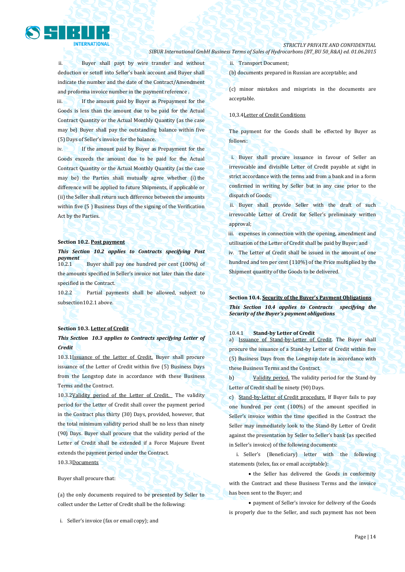

ii. Buyer shall payt by wire transfer and without deduction or setoff into Seller's bank account and Buyer shall indicate the number and the date of the Contract/Amendment and proforma invoice number in the payment reference .

iii. If the amount paid by Buyer as Prepayment for the Goods is less than the amount due to be paid for the Actual Contract Quantity or the Actual Monthly Quantity (as the case may be) Buyer shall pay the outstanding balance within five (5) Days of Seller's invoice for the balance.

iv. If the amount paid by Buyer as Prepayment for the Goods exceeds the amount due to be paid for the Actual Contract Quantity or the Actual Monthly Quantity (as the case may be) the Parties shall mutually agree whether (i) the difference will be applied to future Shipments, if applicable or (ii) the Seller shall return such difference between the amounts within five (5) Business Days of the signing of the Verification Act by the Parties.

### **Section 10.2. Post payment**

### *This Section 10.2 applies to Contracts specifying Post payment*

10.2.1 Buyer shall pay one hundred per cent (100%) of the amounts specified in Seller's invoice not later than the date specified in the Contract.

10.2.2 Partial payments shall be allowed, subject to subsection10.2.1 above.

#### **Section 10.3. Letter of Credit**

# *This Section 10.3 applies to Contracts specifying Letter of Credit*

10.3.1Issuance of the Letter of Credit. Buyer shall procure issuance of the Letter of Credit within five (5) Business Days from the Longstop date in accordance with these Business Terms and the Contract.

10.3.2Validity period of the Letter of Credit. The validity period for the Letter of Credit shall cover the payment period in the Contract plus thirty (30) Days, provided, however, that the total minimum validity period shall be no less than ninety (90) Days. Buyer shall procure that the validity period of the Letter of Credit shall be extended if a Force Majeure Event extends the payment period under the Contract.

10.3.3Documents

Buyer shall procure that:

(a) the only documents required to be presented by Seller to collect under the Letter of Credit shall be the following:

i. Seller's invoice (fax or email copy); and

ii. Transport Document;

(b) documents prepared in Russian are acceptable; and

(c) minor mistakes and misprints in the documents are acceptable.

### 10,3.4Letter of Credit Conditions

The payment for the Goods shall be effected by Buyer as follows:

i. Buyer shall procure issuance in favour of Seller an irrevocable and divisible Letter of Credit payable at sight in strict accordance with the terms and from a bank and in a form confirmed in writing by Seller but in any case prior to the dispatch of Goods;

ii. Buyer shall provide Seller with the draft of such irrevocable Letter of Credit for Seller's preliminary written approval;

iii. expenses in connection with the opening, amendment and utilisation of the Letter of Credit shall be paid by Buyer; and iv. The Letter of Credit shall be issued in the amount of one hundred and ten per cent (110%) of the Price multiplied by the

Shipment quantity of the Goods to be delivered.

# **Section 10.4. Security of the Buyer's Payment Obligations** *This Section 10.4 applies to Contracts specifying the Security of the Buyer's payment obligations*

#### 10.4.1 **Stand-by Letter of Credit**

a) Issuance of Stand-by-Letter of Credit. The Buyer shall procure the issuance of a Stand-by Letter of Credit within five (5) Business Days from the Longstop date in accordance with these Business Terms and the Contract.

b) Validity period. The validity period for the Stand-by Letter of Credit shall be ninety (90) Days.

c) Stand-by-Letter of Credit procedure. If Buyer fails to pay one hundred per cent (100%) of the amount specified in Seller's invoice within the time specified in the Contract the Seller may immediately look to the Stand-By Letter of Credit against the presentation by Seller to Seller's bank (as specified in Seller's invoice) of the following documents:

i. Seller's (Beneficiary) letter with the following statements (telex, fax or email acceptable):

• the Seller has delivered the Goods in conformity with the Contract and these Business Terms and the invoice has been sent to the Buyer; and

 payment of Seller's invoice for delivery of the Goods is properly due to the Seller, and such payment has not been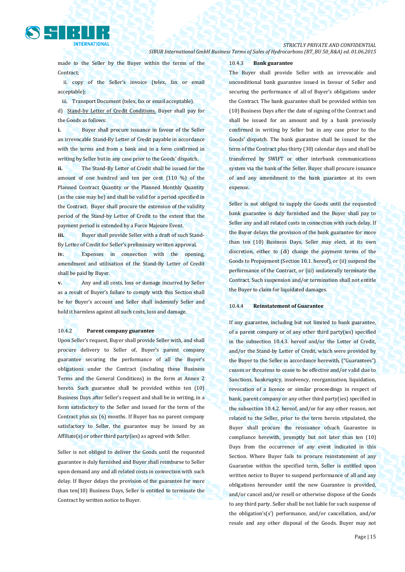

*STRICTLY PRIVATE AND CONFIDENTIAL*

*SIBUR International GmbH Business Terms of Sales of Hydrocarbons (BT\_BU 50\_R&A) ed. 01.06.2015*

made to the Seller by the Buyer within the terms of the Contract;

ii. copy of the Seller's invoice (telex, fax or email acceptable);

iii. Transport Document (telex, fax or email acceptable). d) Stand-by Letter of Credit Conditions. Buyer shall pay for the Goods as follows:

**i.** Buyer shall procure issuance in favour of the Seller an irrevocable Stand-By Letter of Credit payable in accordance with the terms and from a bank and in a form confirmed in writing by Seller but in any case prior to the Goods' dispatch.

**ii.** The Stand-By Letter of Credit shall be issued for the amount of one hundred and ten per cent (110 %) of the Planned Contract Quantity or the Planned Monthly Quantity (as the case may be) and shall be valid for a period specified in the Contract. Buyer shall procure the extension of the validity period of the Stand-by Letter of Credit to the extent that the payment period is extended by a Force Majeure Event.

**iii.** Buyer shall provide Seller with a draft of such Stand-By Letter of Credit for Seller's preliminary written approval.

**iv.** Expenses in connection with the opening, amendment and utilisation of the Stand-By Letter of Credit shall be paid by Buyer.

**v.** Any and all costs, loss or damage incurred by Seller as a result of Buyer's failure to comply with this Section shall be for Buyer's account and Seller shall indemnify Seller and hold it harmless against all such costs, loss and damage.

### 10.4.2 **Parent company guarantee**

Upon Seller's request, Buyer shall provide Seller with, and shall procure delivery to Seller of, Buyer's parent company guarantee securing the performance of all the Buyer's obligations under the Contract (including these Business Terms and the General Conditions) in the form at Annex 2 hereto. Such guarantee shall be provided within ten (10) Business Days after Seller's request and shall be in writing, in a form satisfactory to the Seller and issued for the term of the Contract plus six (6) months. If Buyer has no parent company satisfactory to Seller, the guarantee may be issued by an Affiliate(s) or other third party(ies) as agreed with Seller.

Seller is not obliged to deliver the Goods until the requested guarantee is duly furnished and Buyer shall reimburse to Seller upon demand any and all related costs in connection with such delay. If Buyer delays the provision of the guarantee for more than ten(10) Business Days, Seller is entitled to terminate the Contract by written notice to Buyer.

#### 10.4.3 **Bank guarantee**

The Buyer shall provide Seller with an irrevocable and unconditional bank guarantee issued in favour of Seller and securing the performance of all of Buyer's obligations under the Contract. The bank guarantee shall be provided within ten (10) Business Days after the date of signing of the Contract and shall be issued for an amount and by a bank previously confirmed in writing by Seller but in any case prior to the Goods' dispatch. The bank guarantee shall be issued for the term of the Contract plus thirty (30) calendar days and shall be transferred by SWIFT or other interbank communications system via the bank of the Seller. Buyer shall procure issuance of and any amendment to the bank guarantee at its own expense.

Seller is not obliged to supply the Goods until the requested bank guarantee is duly furnished and the Buyer shall pay to Seller any and all related costs in connection with such delay. If the Buyer delays the provision of the bank guarantee for more than ten (10) Business Days, Seller may elect, at its own discretion, either to (di) change the payment terms of the Goods to Prepayment (Section 10.1. hereof), or (ii) suspend the performance of the Contract, or (iii) unilaterally terminate the Contract. Such suspension and/or termination shall not entitle the Buyer to claim for liquidated damages.

#### 10.4.4 **Reinstatement of Guarantee**

If any guarantee, including but not limited to bank guarantee, of a parent company or of any other third party(ies) specified in the subsection 10.4.3. hereof and/or the Letter of Credit, and/or the Stand-by Letter of Credit, which were provided by the Buyer to the Seller in accordance herewith, ("Guarantees") ceases or threatens to cease to be effective and/or valid due to Sanctions, bankruptcy, insolvency, reorganization, liquidation, revocation of a licence or similar proceedings in respect of bank, parent company or any other third party(ies) specified in the subsection 10.4.2. hereof, and/or for any other reason, not related to the Seller, prior to the term herein stipulated, the Buyer shall procure the reissuance ofsuch Guarantee in compliance herewith, promptly but not later than ten (10) Days from the occurrence of any event indicated in this Section. Where Buyer fails to procure reinstatement of any Guarantee within the specified term, Seller is entitled upon written notice to Buyer to suspend performance of all and any obligations hereunder until the new Guarantee is provided, and/or cancel and/or resell or otherwise dispose of the Goods to any third party. Seller shall be not liable for such suspense of the obligation's(s') performance, and/or cancellation, and/or resale and any other disposal of the Goods. Buyer may not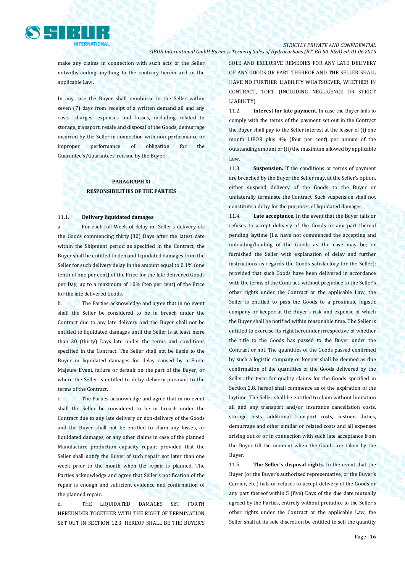

make any claims in connection with such acts of the Seller notwithstanding anything to the contrary herein and in the applicable Law.

In any case the Buyer shall reimburse to the Seller within seven (7) days from receipt of a written demand all and any costs, charges, expenses and losses, including related to storage, transport, resale and disposal of the Goods, demurrage incurred by the Seller in connection with non-performance or improper performance of obligation for the Guarantee's/Guarantees' reissue by the Buyer.

# **PARAGRAPH XI RESPONSIBILITIES OF THE PARTIES**

#### 11.1. **Delivery liquidated damages**

a. For each full Week of delay in Seller's delivery ofs the Goods commencing thirty (30) Days after the latest date within the Shipment period as specified in the Contract, the Buyer shall be entitled to demand liquidated damages from the Seller for such delivery delay in the amount equal to 0.1% (one tenth of one per cent) of the Price for the late delivered Goods per Day, up to a maximum of 10% (ten per cent) of the Price for the late delivered Goods.

b. The Parties acknowledge and agree that in no event shall the Seller be considered to be in breach under the Contract due to any late delivery and the Buyer shall not be entitled to liquidated damages until the Seller is at least more than 30 (thirty) Days late under the terms and conditions specified in the Contract. The Seller shall not be liable to the Buyer in liquidated damages for delay caused by a Force Majeure Event, failure or default on the part of the Buyer, or where the Seller is entitled to delay delivery pursuant to the terms of the Contract.

c. The Parties acknowledge and agree that in no event shall the Seller be considered to be in breach under the Contract due to any late delivery or non-delivery of the Goods and the Buyer shall not be entitled to claim any losses, or liquidated damages, or any other claims in case of the planned Manufacture production capacity repair; provided that the Seller shall notify the Buyer of such repair not later than one week prior to the month when the repair is planned. The Parties acknowledge and agree that Seller's notification of the repair is enough and sufficient evidence and confirmation of the planned repair.

d. THE LIQUIDATED DAMAGES SET FORTH HEREUNDER TOGETHER WITH THE RIGHT OF TERMINATION SET OUT IN SECTION 12.3. HEREOF SHALL BE THE BUYER'S SOLE AND EXCLUSIVE REMEDIES FOR ANY LATE DELIVERY OF ANY GOODS OR PART THEREOF AND THE SELLER SHALL HAVE NO FURTHER LIABILITY WHATSOEVER, WHETHER IN CONTRACT, TORT (INCLUDING NEGLIGENCE OR STRICT LIABILITY).

11.2. **Interest for late payment.** In case the Buyer fails to comply with the terms of the payment set out in the Contract the Buyer shall pay to the Seller interest at the lesser of (i) one month LIBOR plus 4% (four per cent) per annum of the outstanding amount or (ii) the maximum allowed by applicable Law.

11.3. **Suspension.** If the conditions or terms of payment are breached by the Buyer the Seller may, at the Seller's option, either suspend delivery of the Goods to the Buyer or unilaterally terminate the Contract. Such suspension shall not constitute a delay for the purposes of liquidated damages.

11.4. **Late acceptance.** In the event that the Buyer fails or refuses to accept delivery of the Goods or any part thereof pending laytime (i.e. have not commenced the accepting and unloading/loading of the Goods as the case may be; or furnished the Seller with explanation of delay and further instructions as regards the Goods satisfactory for the Seller); provided that such Goods have been delivered in accordance with the terms of the Contract, without prejudice to the Seller's other rights under the Contract or the applicable Law, the Seller is entitled to pass the Goods to a proximate logistic company or keeper at the Buyer's risk and expense of which the Buyer shall be notified within reasonable time. The Seller is entitled to exercise its right hereunder irrespective of whether the title to the Goods has passed to the Buyer under the Contract or not. The quantities of the Goods passed confirmed by such a logistic company or keeper shall be deemed as due confirmation of the quantities of the Goods delivered by the Seller; the term for quality claims for the Goods specified in Section 2.8. hereof shall commence as of the expiration of the laytime. The Seller shall be entitled to claim without limitation all and any transport and/or insurance cancellation costs, storage costs, additional transport costs, customs duties, demurrage and other similar or related costs and all expenses arising out of or in connection with such late acceptance from the Buyer till the moment when the Goods are taken by the Buyer.

11.5. **The Seller's disposal rights.** In the event that the Buyer (or the Buyer's authorized representative, or the Buyer's Carrier, etc.) fails or refuses to accept delivery of the Goods or any part thereof within 5 (five) Days of the due date mutually agreed by the Parties, entirely without prejudice to the Seller's other rights under the Contract or the applicable Law, the Seller shall at its sole discretion be entitled to sell the quantity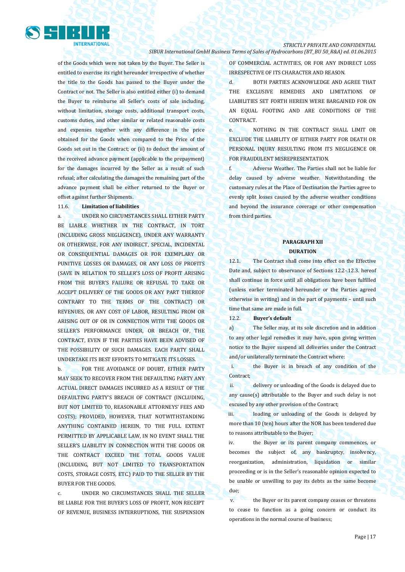

of the Goods which were not taken by the Buyer. The Seller is entitled to exercise its right hereunder irrespective of whether the title to the Goods has passed to the Buyer under the Contract or not. The Seller is also entitled either (i) to demand the Buyer to reimburse all Seller's costs of sale including, without limitation, storage costs, additional transport costs, customs duties, and other similar or related reasonable costs and expenses together with any difference in the price obtained for the Goods when compared to the Price of the Goods set out in the Contract; or (ii) to deduct the amount of the received advance payment (applicable to the prepayment) for the damages incurred by the Seller as a result of such refusal; after calculating the damages the remaining part of the advance payment shall be either returned to the Buyer or offset against further Shipments.

### 11.6. **Limitation of liabilities**

a. UNDER NO CIRCUMSTANCES SHALL EITHER PARTY BE LIABLE WHETHER IN THE CONTRACT, IN TORT (INCLUDING GROSS NEGLIGENCE), UNDER ANY WARRANTY OR OTHERWISE, FOR ANY INDIRECT, SPECIAL, INCIDENTAL OR CONSEQUENTIAL DAMAGES OR FOR EXEMPLARY OR PUNITIVE LOSSES OR DAMAGES, OR ANY LOSS OF PROFITS (SAVE IN RELATION TO SELLER'S LOSS OF PROFIT ARISING FROM THE BUYER'S FAILURE OR REFUSAL TO TAKE OR ACCEPT DELIVERY OF THE GOODS OR ANY PART THEREOF CONTRARY TO THE TERMS OF THE CONTRACT) OR REVENUES, OR ANY COST OF LABOR, RESULTING FROM OR ARISING OUT OF OR IN CONNECTION WITH THE GOODS OR SELLER'S PERFORMANCE UNDER, OR BREACH OF, THE CONTRACT, EVEN IF THE PARTIES HAVE BEEN ADVISED OF THE POSSIBILITY OF SUCH DAMAGES. EACH PARTY SHALL UNDERTAKE ITS BEST EFFORTS TO MITIGATE ITS LOSSES.

b. FOR THE AVOIDANCE OF DOUBT, EITHER PARTY MAY SEEK TO RECOVER FROM THE DEFAULTING PARTY ANY ACTUAL DIRECT DAMAGES INCURRED AS A RESULT OF THE DEFAULTING PARTY'S BREACH OF CONTRACT (INCLUDING, BUT NOT LIMITED TO, REASONABLE ATTORNEYS' FEES AND COSTS); PROVIDED, HOWEVER, THAT NOTWITHSTANDING ANYTHING CONTAINED HEREIN, TO THE FULL EXTENT PERMITTED BY APPLICABLE LAW, IN NO EVENT SHALL THE SELLER'S LIABILITY IN CONNECTION WITH THE GOODS OR THE CONTRACT EXCEED THE TOTAL GOODS VALUE (INCLUDING, BUT NOT LIMITED TO TRANSPORTATION COSTS, STORAGE COSTS, ETC.) PAID TO THE SELLER BY THE BUYER FOR THE GOODS.

c. UNDER NO CIRCUMSTANCES SHALL THE SELLER BE LIABLE FOR THE BUYER'S LOSS OF PROFIT, NON RECEIPT OF REVENUE, BUSINESS INTERRUPTIONS, THE SUSPENSION

OF COMMERCIAL ACTIVITIES, OR FOR ANY INDIRECT LOSS IRRESPECTIVE OF ITS CHARACTER AND REASON.

d. BOTH PARTIES ACKNOWLEDGE AND AGREE THAT THE EXCLUSIVE REMEDIES AND LIMITATIONS OF LIABILITIES SET FORTH HEREIN WERE BARGAINED FOR ON AN EQUAL FOOTING AND ARE CONDITIONS OF THE **CONTRACT** 

e. NOTHING IN THE CONTRACT SHALL LIMIT OR EXCLUDE THE LIABILITY OF EITHER PARTY FOR DEATH OR PERSONAL INJURY RESULTING FROM ITS NEGLIGENCE OR FOR FRAUDULENT MISREPRESENTATION.

f. Adverse Weather. The Parties shall not be liable for delay caused by adverse weather. Notwithstanding the customary rules at the Place of Destination the Parties agree to evenly split losses caused by the adverse weather conditions and beyond the insurance coverage or other compensation from third parties.

# **PARAGRAPH XII DURATION**

12.1. The Contract shall come into effect on the Effective Date and, subject to observance of Sections 12.2-.12.3. hereof shall continue in force until all obligations have been fulfilled (unless earlier terminated hereunder or the Parties agreed otherwise in writing) and in the part of payments – until such time that same are made in full.

12.2. **Buyer's default** 

a) The Seller may, at its sole discretion and in addition to any other legal remedies it may have, upon giving written notice to the Buyer suspend all deliveries under the Contract and/or unilaterally terminate the Contract where:

i. the Buyer is in breach of any condition of the Contract;

ii. delivery or unloading of the Goods is delayed due to any cause(s) attributable to the Buyer and such delay is not excused by any other provision of the Contract;

iii. loading or unloading of the Goods is delayed by more than 10 (ten) hours after the NOR has been tendered due to reasons attributable to the Buyer;

iv. the Buyer or its parent company commences, or becomes the subject of, any bankruptcy, insolvency, reorganization, administration, liquidation or similar proceeding or is in the Seller's reasonable opinion expected to be unable or unwilling to pay its debts as the same become due;

v. the Buyer or its parent company ceases or threatens to cease to function as a going concern or conduct its operations in the normal course of business;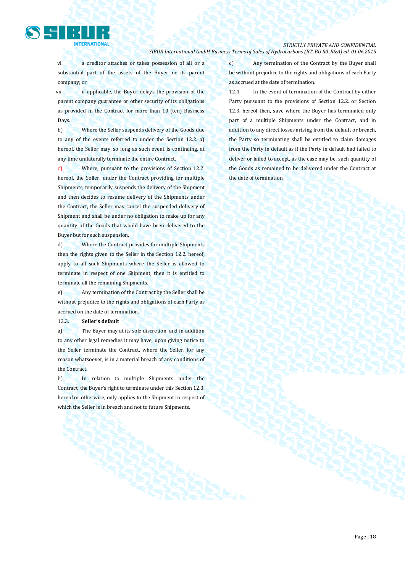

vi. a creditor attaches or takes possession of all or a substantial part of the assets of the Buyer or its parent company; or

vii. if applicable, the Buyer delays the provision of the parent company guarantee or other security of its obligations as provided in the Contract for more than 10 (ten) Business Days.

b) Where the Seller suspends delivery of the Goods due to any of the events referred to under the Section 12.2. a) hereof, the Seller may, so long as such event is continuing, at any time unilaterally terminate the entire Contract.

c) Where, pursuant to the provisions of Section 12.2. hereof, the Seller, under the Contract providing for multiple Shipments, temporarily suspends the delivery of the Shipment and then decides to resume delivery of the Shipments under the Contract, the Seller may cancel the suspended delivery of Shipment and shall be under no obligation to make up for any quantity of the Goods that would have been delivered to the Buyer but for such suspension.

d) Where the Contract provides for multiple Shipments then the rights given to the Seller in the Section 12.2. hereof, apply to all such Shipments where the Seller is allowed to terminate in respect of one Shipment, then it is entitled to terminate all the remaining Shipments.

e) Any termination of the Contract by the Seller shall be without prejudice to the rights and obligations of each Party as accrued on the date of termination.

12.3. **Seller's default**

a) The Buyer may at its sole discretion, and in addition to any other legal remedies it may have, upon giving notice to the Seller terminate the Contract, where the Seller, for any reason whatsoever, is in a material breach of any conditions of the Contract.

b) In relation to multiple Shipments under the Contract, the Buyer's right to terminate under this Section 12.3. hereof or otherwise, only applies to the Shipment in respect of which the Seller is in breach and not to future Shipments.

c) Any termination of the Contract by the Buyer shall be without prejudice to the rights and obligations of each Party as accrued at the date of termination.

12.4. In the event of termination of the Contract by either Party pursuant to the provisions of Section 12.2. or Section 12.3. hereof then, save where the Buyer has terminated only part of a multiple Shipments under the Contract, and in addition to any direct losses arising from the default or breach, the Party so terminating shall be entitled to claim damages from the Party in default as if the Party in default had failed to deliver or failed to accept, as the case may be, such quantity of the Goods as remained to be delivered under the Contract at the date of termination.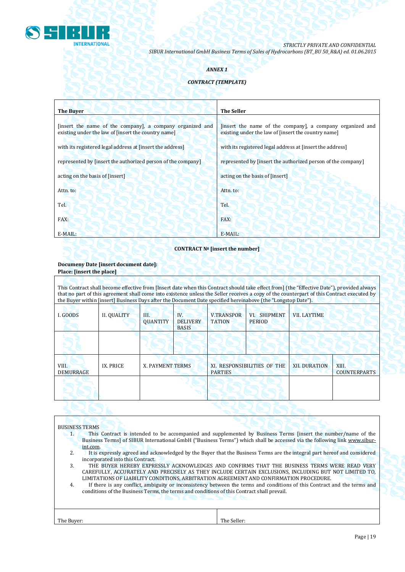

# *ANNEX 1*

# *CONTRACT (TEMPLATE)*

| <b>The Buyer</b>                                                                                                 | <b>The Seller</b>                                                                                                |
|------------------------------------------------------------------------------------------------------------------|------------------------------------------------------------------------------------------------------------------|
| [insert the name of the company], a company organized and<br>existing under the law of [insert the country name] | [insert the name of the company], a company organized and<br>existing under the law of [insert the country name] |
| with its registered legal address at finsert the address                                                         | with its registered legal address at finsert the address                                                         |
| represented by [insert the authorized person of the company]                                                     | represented by [insert the authorized person of the company]                                                     |
| acting on the basis of [insert]                                                                                  | acting on the basis of [insert]                                                                                  |
| Attn. to:                                                                                                        | Attn. to:                                                                                                        |
| Tel.                                                                                                             | Tel.                                                                                                             |
| FAX:                                                                                                             | FAX:                                                                                                             |
| E-MAIL:                                                                                                          | $E-MAIL:$                                                                                                        |

# **CONTRACT № [insert the number]**

### **Documeny Date [insert document date]: Place: [insert the place]**

| This Contract shall become effective from [Insert date when this Contract should take effect from] (the "Effective Date"), provided always<br>that no part of this agreement shall come into existence unless the Seller receives a copy of the counterpart of this Contract executed by<br>the Buyer within [insert] Business Days after the Document Date specified hereinabove (the "Longstop Date"). |                    |                       |                                        |                                               |                               |                      |                              |  |
|----------------------------------------------------------------------------------------------------------------------------------------------------------------------------------------------------------------------------------------------------------------------------------------------------------------------------------------------------------------------------------------------------------|--------------------|-----------------------|----------------------------------------|-----------------------------------------------|-------------------------------|----------------------|------------------------------|--|
| I. GOODS                                                                                                                                                                                                                                                                                                                                                                                                 | <b>II. QUALITY</b> | Ш.<br><b>OUANTITY</b> | IV.<br><b>DELIVERY</b><br><b>BASIS</b> | <b>V.TRANSPOR</b><br><b>TATION</b>            | VI. SHIPMENT<br><b>PERIOD</b> | <b>VII. LAYTIME</b>  |                              |  |
|                                                                                                                                                                                                                                                                                                                                                                                                          |                    |                       |                                        |                                               |                               |                      |                              |  |
| VIII.<br><b>DEMURRAGE</b>                                                                                                                                                                                                                                                                                                                                                                                | IX. PRICE          | X. PAYMENT TERMS      |                                        | XI. RESPONSIBILITIES OF THE<br><b>PARTIES</b> |                               | <b>XII. DURATION</b> | XIII.<br><b>COUNTERPARTS</b> |  |
|                                                                                                                                                                                                                                                                                                                                                                                                          |                    |                       |                                        |                                               |                               |                      |                              |  |

# BUSINESS TERMS

- 1. This Contract is intended to be accompanied and supplemented by Business Terms [insert the number/name of the Business Terms] of SIBUR International GmbH ("Business Terms") which shall be accessed via the following link [www.sibur](http://www.sibur-int.com/)[int.com.](http://www.sibur-int.com/)
- 2. It is expressly agreed and acknowledged by the Buyer that the Business Terms are the integral part hereof and considered incorporated into this Contract.
- 3. THE BUYER HEREBY EXPRESSLY ACKNOWLEDGES AND CONFIRMS THAT THE BUSINESS TERMS WERE READ VERY CAREFULLY, ACCURATELY AND PRECISELY AS THEY INCLUDE CERTAIN EXCLUSIONS, INCLUDING BUT NOT LIMITED TO, LIMITATIONS OF LIABILITY CONDITIONS, ARBITRATION AGREEMENT AND CONFIRMATION PROCEDURE.
- 4. If there is any conflict, ambiguity or inconsistency between the terms and conditions of this Contract and the terms and conditions of the Business Terms, the terms and conditions of this Contract shall prevail.

The Buyer: The Seller: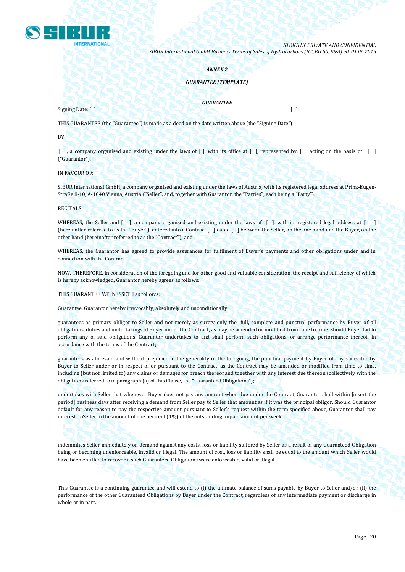

### *ANNEX 2*

### *GUARANTEE (TEMPLATE)*

### *GUARANTEE*

 $Signing$  Date: [ ]  $\bigcup_{n=1}^{\infty}$   $\bigcup_{n=1}^{\infty}$   $\bigcup_{n=1}^{\infty}$   $\bigcup_{n=1}^{\infty}$   $\bigcup_{n=1}^{\infty}$   $\bigcup_{n=1}^{\infty}$   $\bigcup_{n=1}^{\infty}$   $\bigcup_{n=1}^{\infty}$   $\bigcup_{n=1}^{\infty}$   $\bigcup_{n=1}^{\infty}$   $\bigcup_{n=1}^{\infty}$   $\bigcup_{n=1}^{\infty}$   $\bigcup_{n=1}^{\infty$ 

THIS GUARANTEE (the "Guarantee") is made as a deed on the date written above (the "Signing Date")

BY:

[ ], a company organised and existing under the laws of [ ], with its office at [ ], represented by, [ ] acting on the basis of [ ] ("Guarantor"),

IN FAVOUR OF:

SIBUR International GmbH, a company organised and existing under the laws of Austria, with its registered legal address at Prinz-Eugen-Straße 8-10, A-1040 Vienna, Austria ("Seller", and, together with Guarantor, the "Parties", each being a "Party").

RECITALS:

WHEREAS, the Seller and [ ], a company organised and existing under the laws of [ ], with its registered legal address at [ ] (hereinafter referred to as the "Buyer"), entered into a Contract [ ] dated [ ] between the Seller, on the one hand and the Buyer, on the other hand (hereinafter referred to as the "Contract"); and

WHEREAS, the Guarantor has agreed to provide assurances for fulfilment of Buyer's payments and other obligations under and in connection with the Contract ;

NOW, THEREFORE, in consideration of the foregoing and for other good and valuable consideration, the receipt and sufficiency of which is hereby acknowledged, Guarantor hereby agrees as follows:

THIS GUARANTEE WITNESSETH as follows:

Guarantee. Guarantor hereby irrevocably, absolutely and unconditionally:

guarantees as primary obligor to Seller and not merely as surety only the full, complete and punctual performance by Buyer of all obligations, duties and undertakings of Buyer under the Contract, as may be amended or modified from time to time. Should Buyer fail to perform any of said obligations, Guarantor undertakes to and shall perform such obligations, or arrange performance thereof, in accordance with the terms of the Contract;

guarantees as aforesaid and without prejudice to the generality of the foregoing, the punctual payment by Buyer of any sums due by Buyer to Seller under or in respect of or pursuant to the Contract, as the Contract may be amended or modified from time to time, including (but not limited to) any claims or damages for breach thereof and together with any interest due thereon (collectively with the obligations referred to in paragraph (a) of this Clause, the "Guaranteed Obligations");

undertakes with Seller that whenever Buyer does not pay any amount when due under the Contract, Guarantor shall within [insert the period] business days after receiving a demand from Seller pay to Seller that amount as if it was the principal obligor. Should Guarantor default for any reason to pay the respective amount pursuant to Seller's request within the term specified above, Guarantor shall pay interest toSeller in the amount of one per cent (1%) of the outstanding unpaid amount per week;

indemnifies Seller immediately on demand against any costs, loss or liability suffered by Seller as a result of any Guaranteed Obligation being or becoming unenforceable, invalid or illegal. The amount of cost, loss or liability shall be equal to the amount which Seller would have been entitled to recover if such Guaranteed Obligations were enforceable, valid or illegal.

This Guarantee is a continuing guarantee and will extend to (i) the ultimate balance of sums payable by Buyer to Seller and/or (ii) the performance of the other Guaranteed Obligations by Buyer under the Contract, regardless of any intermediate payment or discharge in whole or in part.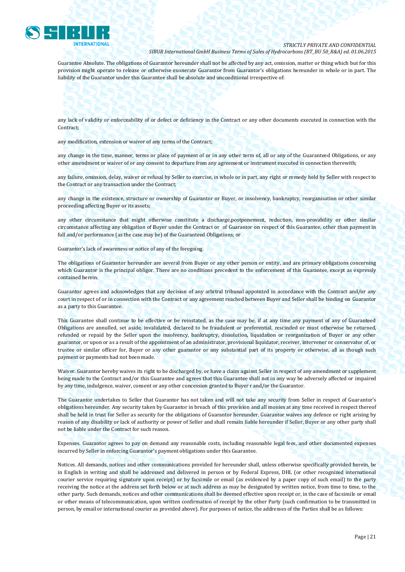

Guarantee Absolute. The obligations of Guarantor hereunder shall not be affected by any act, omission, matter or thing which but for this provision might operate to release or otherwise exonerate Guarantor from Guarantor's obligations hereunder in whole or in part. The liability of the Guarantor under this Guarantee shall be absolute and unconditional irrespective of:

### any lack of validity or enforceability of or defect or deficiency in the Contract or any other documents executed in connection with the Contract;

any modification, extension or waiver of any terms of the Contract;

any change in the time, manner, terms or place of payment of or in any other term of, all or any of the Guaranteed Obligations, or any other amendment or waiver of or any consent to departure from any agreement or instrument executed in connection therewith;

any failure, omission, delay, waiver or refusal by Seller to exercise, in whole or in part, any right or remedy held by Seller with respect to the Contract or any transaction under the Contract;

any change in the existence, structure or ownership of Guarantor or Buyer, or insolvency, bankruptcy, reorganisation or other similar proceeding affecting Buyer or its assets;

any other circumstance that might otherwise constitute a discharge,postponement, reduction, non-provability or other similar circumstance affecting any obligation of Buyer under the Contract or of Guarantor on respect of this Guarantee, other than payment in full and/or performance (as the case may be) of the Guaranteed Obligations; or

Guarantor's lack of awareness or notice of any of the foregoing.

The obligations of Guarantor hereunder are several from Buyer or any other person or entity, and are primary obligations concerning which Guarantor is the principal obligor. There are no conditions precedent to the enforcement of this Guarantee, except as expressly contained herein.

Guarantor agrees and acknowledges that any decision of any arbitral tribunal appointed in accordance with the Contract and/or any court in respect of or in connection with the Contract or any agreement reached between Buyer and Seller shall be binding on Guarantor as a party to this Guarantee.

This Guarantee shall continue to be effective or be reinstated, as the case may be, if at any time any payment of any of Guaranteed Obligations are annulled, set aside, invalidated, declared to be fraudulent or preferential, rescinded or must otherwise be returned, refunded or repaid by the Seller upon the insolvency, bankruptcy, dissolution, liquidation or reorganization of Buyer or any other guarantor, or upon or as a result of the appointment of an administrator, provisional liquidator, receiver, intervener or conservator of, or trustee or similar officer for, Buyer or any other guarantor or any substantial part of its property or otherwise, all as though such payment or payments had not been made.

Waiver. Guarantor hereby waives its right to be discharged by, or have a claim against Seller in respect of any amendment or supplement being made to the Contract and/or this Guarantee and agrees that this Guarantee shall not in any way be adversely affected or impaired by any time, indulgence, waiver, consent or any other concession granted to Buyer r and/or the Guarantor.

The Guarantor undertakes to Seller that Guarantor has not taken and will not take any security from Seller in respect of Guarantor's obligations hereunder. Any security taken by Guarantor in breach of this provision and all monies at any time received in respect thereof shall be held in trust for Seller as security for the obligations of Guarantor hereunder. Guarantor waives any defence or right arising by reason of any disability or lack of authority or power of Seller and shall remain liable hereunder if Seller, Buyer or any other party shall not be liable under the Contract for such reason.

Expenses. Guarantor agrees to pay on demand any reasonable costs, including reasonable legal fees, and other documented expenses incurred by Seller in enforcing Guarantor's payment obligations under this Guarantee.

Notices. All demands, notices and other communications provided for hereunder shall, unless otherwise specifically provided herein, be in English in writing and shall be addressed and delivered in person or by Federal Express, DHL (or other recognized international courier service requiring signature upon receipt) or by facsimile or email (as evidenced by a paper copy of such email) to the party receiving the notice at the address set forth below or at such address as may be designated by written notice, from time to time, to the other party. Such demands, notices and other communications shall be deemed effective upon receipt or, in the case of facsimile or email or other means of telecommunication, upon written confirmation of receipt by the other Party (such confirmation to be transmitted in person, by email or international courier as provided above). For purposes of notice, the addresses of the Parties shall be as follows: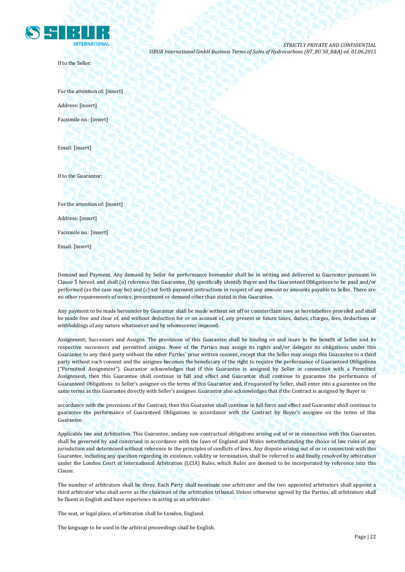

If to the Seller:

*STRICTLY PRIVATE AND CONFIDENTIAL SIBUR International GmbH Business Terms of Sales of Hydrocarbons (BT\_BU 50\_R&A) ed. 01.06.2015*

For the attention of: [insert] Address: [insert] Facsimile no.: [insert]

Email: [insert]

If to the Guarantor:

For the attention of: [insert]

Address: [insert]

Facsimile no.: [insert]

Email: [insert]

Demand and Payment. Any demand by Seller for performance hereunder shall be in writing and delivered to Guarantor pursuant to Clause 5 hereof, and shall (a) reference this Guarantee, (b) specifically identify Buyer and the Guaranteed Obligations to be paid and/or performed (as the case may be) and (c) set forth payment instructions in respect of any amount or amounts payable to Seller. There are no other requirements of notice, presentment or demand other than stated in this Guarantee.

Any payment to be made hereunder by Guarantor shall be made without set off or counterclaim save as hereinbefore provided and shall be made free and clear of, and without deduction for or on account of, any present or future taxes, duties, charges, fees, deductions or withholdings of any nature whatsoever and by whomsoever imposed.

Assignment; Successors and Assigns. The provisions of this Guarantee shall be binding on and inure to the benefit of Seller and its respective successors and permitted assigns. None of the Parties may assign its rights and/or delegate its obligations under this Guarantee to any third party without the other Parties' prior written consent, except that the Seller may assign this Guarantee to a third party without such consent and the assignee becomes the beneficiary of the right to require the performance of Guaranteed Obligations ("Permitted Assignment"). Guarantor acknowledges that if this Guarantee is assigned by Seller in connection with a Permitted Assignment, then this Guarantee shall continue in full and effect and Guarantor shall continue to guarantee the performance of Guaranteed Obligations to Seller's assignee on the terms of this Guarantee and, if requested by Seller, shall enter into a guarantee on the same terms as this Guarantee directly with Seller's assignee. Guarantor also acknowledges that if the Contract is assigned by Buyer in

accordance with the provisions of the Contract, then this Guarantee shall continue in full force and effect and Guarantor shall continue to guarantee the performance of Guaranteed Obligations in accordance with the Contract by Buyer's assignee on the terms of this Guarantee.

Applicable law and Arbitration. This Guarantee, andany non-contractual obligations arising out of or in connection with this Guarantee, shall be governed by and construed in accordance with the laws of England and Wales notwithstanding the choice of law rules of any jurisdiction and determined without reference to the principles of conflicts of laws. Any dispute arising out of or in connection with this Guarantee, including any question regarding its existence, validity or termination, shall be referred to and finally resolved by arbitration under the London Court of International Arbitration (LCIA) Rules, which Rules are deemed to be incorporated by reference into this Clause.

The number of arbitrators shall be three. Each Party shall nominate one arbitrator and the two appointed arbitrators shall appoint a third arbitrator who shall serve as the chairman of the arbitration tribunal. Unless otherwise agreed by the Parties, all arbitrators shall be fluent in English and have experience in acting as an arbitrator.

The seat, or legal place, of arbitration shall be London, England.

The language to be used in the arbitral proceedings shall be English.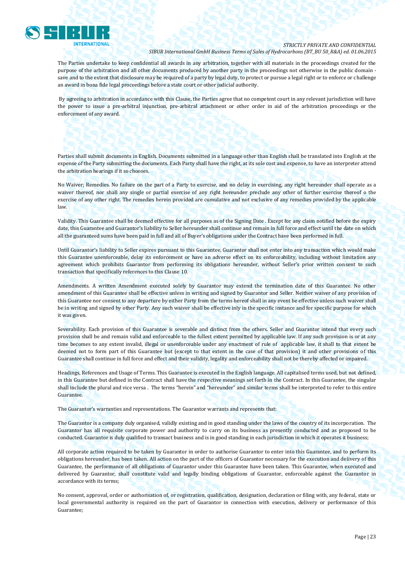

The Parties undertake to keep confidential all awards in any arbitration, together with all materials in the proceedings created for the purpose of the arbitration and all other documents produced by another party in the proceedings not otherwise in the public domain save and to the extent that disclosure may be required of a party by legal duty, to protect or pursue a legal right or to enforce or challenge an award in bona fide legal proceedings before a state court or other judicial authority.

By agreeing to arbitration in accordance with this Clause, the Parties agree that no competent court in any relevant jurisdiction will have the power to issue a pre-arbitral injunction, pre-arbitral attachment or other order in aid of the arbitration proceedings or the enforcement of any award.

Parties shall submit documents in English. Documents submitted in a language other than English shall be translated into English at the expense of the Party submitting the documents. Each Party shall have the right, at its sole cost and expense, to have an interpreter attend the arbitration hearings if it so chooses.

No Waiver; Remedies. No failure on the part of a Party to exercise, and no delay in exercising, any right hereunder shall operate as a waiver thereof, nor shall any single or partial exercise of any right hereunder preclude any other of further exercise thereof o the exercise of any other right. The remedies herein provided are cumulative and not exclusive of any remedies provided by the applicable law.

Validity. This Guarantee shall be deemed effective for all purposes as of the Signing Date . Except for any claim notified before the expiry date, this Guarantee and Guarantor's liability to Seller hereunder shall continue and remain in full force and effect until the date on which all the guaranteed sums have been paid in full and all of Buyer's obligations under the Contract have been performed in full.

Until Guarantor's liability to Seller expires pursuant to this Guarantee, Guarantor shall not enter into any transaction which would make this Guarantee unenforceable, delay its enforcement or have an adverse effect on its enforceability, including without limitation any agreement which prohibits Guarantor from performing its obligations hereunder, without Seller's prior written consent to such transaction that specifically references to this Clause 10.

Amendments. A written Amendment executed solely by Guarantor may extend the termination date of this Guarantee. No other amendment of this Guarantee shall be effective unless in writing and signed by Guarantor and Seller. Neither waiver of any provision of this Guarantee nor consent to any departure by either Party from the terms hereof shall in any event be effective unless such waiver shall be in writing and signed by other Party. Any such waiver shall be effective inly in the specific instance and for specific purpose for which it was given.

Severability. Each provision of this Guarantee is severable and distinct from the others. Seller and Guarantor intend that every such provision shall be and remain valid and enforceable to the fullest extent permitted by applicable law. If any such provision is or at any time becomes to any extent invalid, illegal or unenforceable under any enactment of rule of applicable law, it shall to that extent be deemed not to form part of this Guarantee but (except to that extent in the case of that provision) it and other provisions of this Guarantee shall continue in full force and effect and their validity, legality and enforceability shall not be thereby affected or impaired.

Headings, References and Usage of Terms. This Guarantee is executed in the English language. All capitalised terms used, but not defined, in this Guarantee but defined in the Contract shall have the respective meanings set forth in the Contract. In this Guarantee, the singular shall include the plural and vice versa . The terms "herein" and "hereunder" and similar terms shall be interpreted to refer to this entire Guarantee.

The Guarantor's warranties and representations. The Guarantor warrants and represents that:

The Guarantor is a company duly organised, validly existing and in good standing under the laws of the country of its incorporation. The Guarantor has all requisite corporate power and authority to carry on its business as presently conducted and as proposed to be conducted. Guarantor is duly qualified to transact business and is in good standing in each jurisdiction in which it operates it business;

All corporate action required to be taken by Guarantor in order to authorise Guarantor to enter into this Guarantee, and to perform its obligations hereunder, has been taken. All action on the part of the officers of Guarantor necessary for the execution and delivery of this Guarantee, the performance of all obligations of Guarantor under this Guarantee have been taken. This Guarantee, when executed and delivered by Guarantor, shall constitute valid and legally binding obligations of Guarantor, enforceable against the Guarantor in accordance with its terms;

No consent, approval, order or authorisation of, or registration, qualification, designation, declaration or filing with, any federal, state or local governmental authority is required on the part of Guarantor in connection with execution, delivery or performance of this Guarantee;